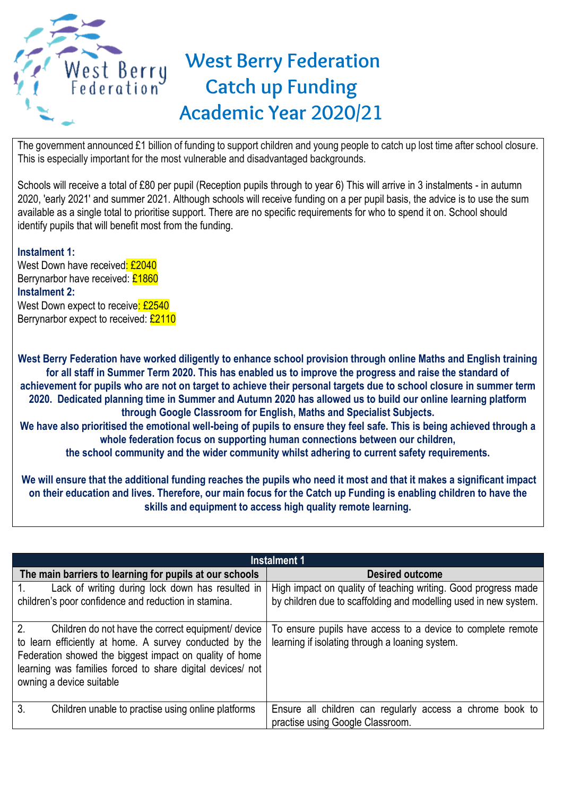

The government announced £1 billion of funding to support children and young people to catch up lost time after school closure. This is especially important for the most vulnerable and disadvantaged backgrounds.

Schools will receive a total of £80 per pupil (Reception pupils through to year 6) This will arrive in 3 instalments - in autumn 2020, 'early 2021' and summer 2021. Although schools will receive funding on a per pupil basis, the advice is to use the sum available as a single total to prioritise support. There are no specific requirements for who to spend it on. School should identify pupils that will benefit most from the funding.

## **Instalment 1:**

West Down have received: £2040 Berrynarbor have received: £1860 **Instalment 2:**  West Down expect to receive: £2540 Berrynarbor expect to received: £2110

West Berry Federation have worked diligently to enhance school provision through online Maths and English training **for all staff in Summer Term 2020. This has enabled us to improve the progress and raise the standard of achievement for pupils who are not on target to achieve their personal targets due to school closure in summer term 2020. Dedicated planning time in Summer and Autumn 2020 has allowed us to build our online learning platform through Google Classroom for English, Maths and Specialist Subjects. We have also prioritised the emotional well-being of pupils to ensure they feel safe. This is being achieved through a** 

**whole federation focus on supporting human connections between our children,**

**the school community and the wider community whilst adhering to current safety requirements.**

**We will ensure that the additional funding reaches the pupils who need it most and that it makes a significant impact on their education and lives. Therefore, our main focus for the Catch up Funding is enabling children to have the skills and equipment to access high quality remote learning.**

| Instalment 1                                                                                                                                                                                                                                                            |                                                                                                                                    |  |  |  |  |  |
|-------------------------------------------------------------------------------------------------------------------------------------------------------------------------------------------------------------------------------------------------------------------------|------------------------------------------------------------------------------------------------------------------------------------|--|--|--|--|--|
| The main barriers to learning for pupils at our schools                                                                                                                                                                                                                 | <b>Desired outcome</b>                                                                                                             |  |  |  |  |  |
| Lack of writing during lock down has resulted in<br>children's poor confidence and reduction in stamina.                                                                                                                                                                | High impact on quality of teaching writing. Good progress made<br>by children due to scaffolding and modelling used in new system. |  |  |  |  |  |
| 2.<br>Children do not have the correct equipment device<br>to learn efficiently at home. A survey conducted by the<br>Federation showed the biggest impact on quality of home<br>learning was families forced to share digital devices/ not<br>owning a device suitable | To ensure pupils have access to a device to complete remote<br>learning if isolating through a loaning system.                     |  |  |  |  |  |
| 3.<br>Children unable to practise using online platforms                                                                                                                                                                                                                | Ensure all children can regularly access a chrome book to<br>practise using Google Classroom.                                      |  |  |  |  |  |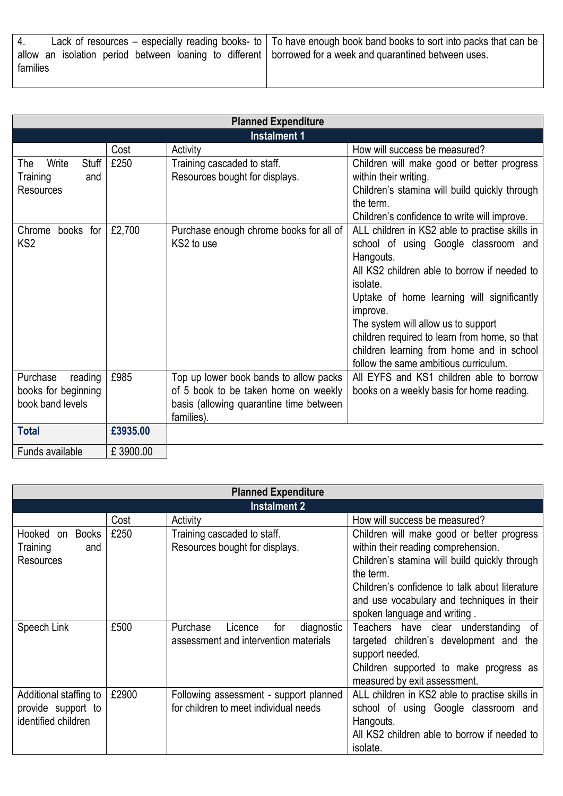|          |  |  |  |  |  |  | Lack of resources – especially reading books- to $\vert$ To have enough book band books to sort into packs that can be |
|----------|--|--|--|--|--|--|------------------------------------------------------------------------------------------------------------------------|
| families |  |  |  |  |  |  | allow an isolation period between loaning to different borrowed for a week and quarantined between uses.               |
|          |  |  |  |  |  |  |                                                                                                                        |

| <b>Planned Expenditure</b> |          |                                         |                                                          |  |  |  |
|----------------------------|----------|-----------------------------------------|----------------------------------------------------------|--|--|--|
|                            |          | <b>Instalment 1</b>                     |                                                          |  |  |  |
|                            | Cost     | Activity                                | How will success be measured?                            |  |  |  |
| Stuff<br>Write<br>The      | £250     | Training cascaded to staff.             | Children will make good or better progress               |  |  |  |
| Training<br>and            |          | Resources bought for displays.          | within their writing.                                    |  |  |  |
| <b>Resources</b>           |          |                                         | Children's stamina will build quickly through            |  |  |  |
|                            |          |                                         | the term.                                                |  |  |  |
|                            |          |                                         | Children's confidence to write will improve.             |  |  |  |
| Chrome books for           | £2,700   | Purchase enough chrome books for all of | ALL children in KS2 able to practise skills in           |  |  |  |
| KS <sub>2</sub>            |          | KS2 to use                              | school of using Google classroom and                     |  |  |  |
|                            |          |                                         | Hangouts.                                                |  |  |  |
|                            |          |                                         | All KS2 children able to borrow if needed to<br>isolate. |  |  |  |
|                            |          |                                         | Uptake of home learning will significantly               |  |  |  |
|                            |          |                                         | improve.                                                 |  |  |  |
|                            |          |                                         | The system will allow us to support                      |  |  |  |
|                            |          |                                         | children required to learn from home, so that            |  |  |  |
|                            |          |                                         | children learning from home and in school                |  |  |  |
|                            |          |                                         | follow the same ambitious curriculum.                    |  |  |  |
| Purchase<br>reading        | £985     | Top up lower book bands to allow packs  | All EYFS and KS1 children able to borrow                 |  |  |  |
| books for beginning        |          | of 5 book to be taken home on weekly    | books on a weekly basis for home reading.                |  |  |  |
| book band levels           |          | basis (allowing quarantine time between |                                                          |  |  |  |
|                            |          | families).                              |                                                          |  |  |  |
| <b>Total</b>               | £3935.00 |                                         |                                                          |  |  |  |
| Funds available            | £3900.00 |                                         |                                                          |  |  |  |

| <b>Planned Expenditure</b>                                          |       |                                                                                   |                                                                                                                                                                                                                                                                                 |  |  |
|---------------------------------------------------------------------|-------|-----------------------------------------------------------------------------------|---------------------------------------------------------------------------------------------------------------------------------------------------------------------------------------------------------------------------------------------------------------------------------|--|--|
| <b>Instalment 2</b>                                                 |       |                                                                                   |                                                                                                                                                                                                                                                                                 |  |  |
|                                                                     | Cost  | Activity                                                                          | How will success be measured?                                                                                                                                                                                                                                                   |  |  |
| <b>Books</b><br>Hooked on<br>Training<br>and<br><b>Resources</b>    | £250  | Training cascaded to staff.<br>Resources bought for displays.                     | Children will make good or better progress<br>within their reading comprehension.<br>Children's stamina will build quickly through<br>the term.<br>Children's confidence to talk about literature<br>and use vocabulary and techniques in their<br>spoken language and writing. |  |  |
| Speech Link                                                         | £500  | Purchase<br>diagnostic<br>Licence<br>for<br>assessment and intervention materials | Teachers have clear understanding<br>of.<br>targeted children's development and the<br>support needed.<br>Children supported to make progress as<br>measured by exit assessment.                                                                                                |  |  |
| Additional staffing to<br>provide support to<br>identified children | £2900 | Following assessment - support planned<br>for children to meet individual needs   | ALL children in KS2 able to practise skills in<br>school of using Google classroom and<br>Hangouts.<br>All KS2 children able to borrow if needed to<br>isolate.                                                                                                                 |  |  |